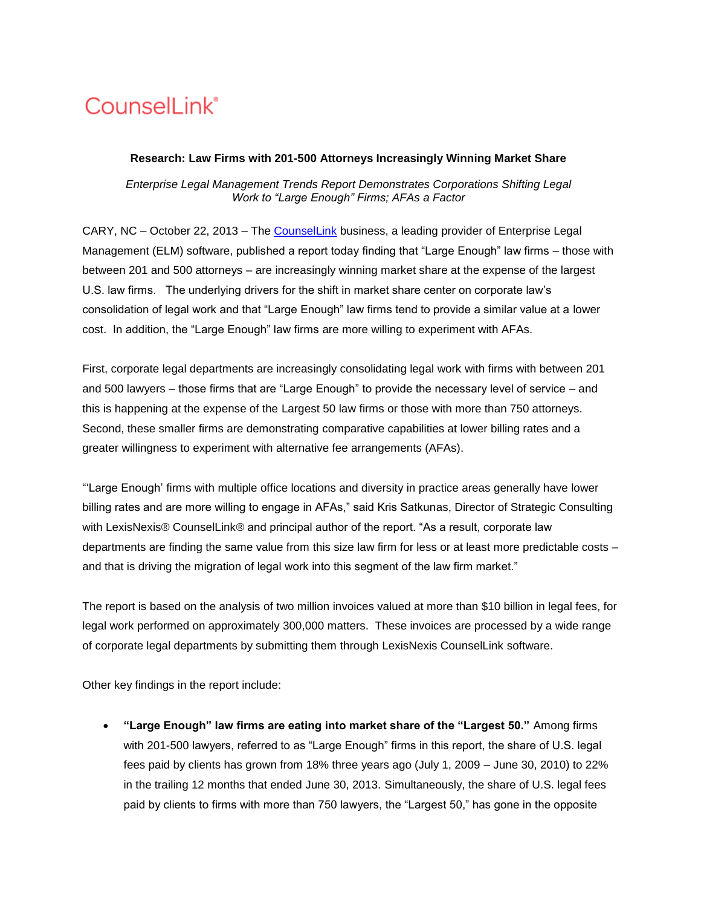## **CounselLink®**

## **Research: Law Firms with 201-500 Attorneys Increasingly Winning Market Share**

*Enterprise Legal Management Trends Report Demonstrates Corporations Shifting Legal Work to "Large Enough" Firms; AFAs a Factor*

CARY, NC – October 22, 2013 – The [CounselLink](http://www.lexisnexis.com/counsellink/) business, a leading provider of Enterprise Legal Management (ELM) software, published a report today finding that "Large Enough" law firms – those with between 201 and 500 attorneys – are increasingly winning market share at the expense of the largest U.S. law firms. The underlying drivers for the shift in market share center on corporate law"s consolidation of legal work and that "Large Enough" law firms tend to provide a similar value at a lower cost. In addition, the "Large Enough" law firms are more willing to experiment with AFAs.

First, corporate legal departments are increasingly consolidating legal work with firms with between 201 and 500 lawyers – those firms that are "Large Enough" to provide the necessary level of service – and this is happening at the expense of the Largest 50 law firms or those with more than 750 attorneys. Second, these smaller firms are demonstrating comparative capabilities at lower billing rates and a greater willingness to experiment with alternative fee arrangements (AFAs).

""Large Enough" firms with multiple office locations and diversity in practice areas generally have lower billing rates and are more willing to engage in AFAs," said Kris Satkunas, Director of Strategic Consulting with LexisNexis® CounselLink® and principal author of the report. "As a result, corporate law departments are finding the same value from this size law firm for less or at least more predictable costs – and that is driving the migration of legal work into this segment of the law firm market."

The report is based on the analysis of two million invoices valued at more than \$10 billion in legal fees, for legal work performed on approximately 300,000 matters. These invoices are processed by a wide range of corporate legal departments by submitting them through LexisNexis CounselLink software.

Other key findings in the report include:

 **"Large Enough" law firms are eating into market share of the "Largest 50."** Among firms with 201-500 lawyers, referred to as "Large Enough" firms in this report, the share of U.S. legal fees paid by clients has grown from 18% three years ago (July 1, 2009 – June 30, 2010) to 22% in the trailing 12 months that ended June 30, 2013. Simultaneously, the share of U.S. legal fees paid by clients to firms with more than 750 lawyers, the "Largest 50," has gone in the opposite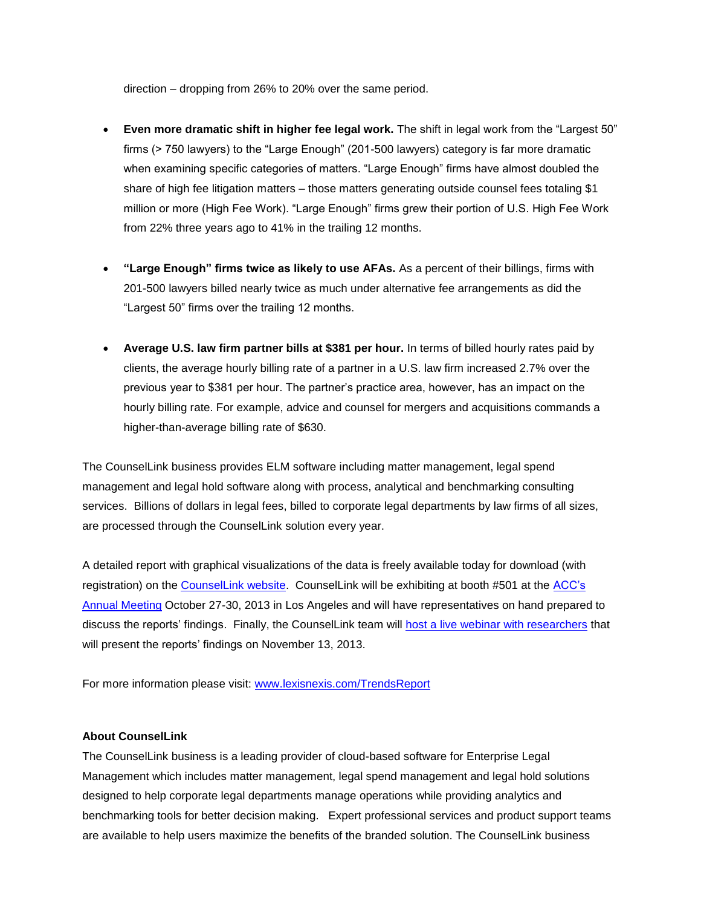direction – dropping from 26% to 20% over the same period.

- **Even more dramatic shift in higher fee legal work.** The shift in legal work from the "Largest 50" firms (> 750 lawyers) to the "Large Enough" (201-500 lawyers) category is far more dramatic when examining specific categories of matters. "Large Enough" firms have almost doubled the share of high fee litigation matters – those matters generating outside counsel fees totaling \$1 million or more (High Fee Work). "Large Enough" firms grew their portion of U.S. High Fee Work from 22% three years ago to 41% in the trailing 12 months.
- **"Large Enough" firms twice as likely to use AFAs.** As a percent of their billings, firms with 201-500 lawyers billed nearly twice as much under alternative fee arrangements as did the "Largest 50" firms over the trailing 12 months.
- **Average U.S. law firm partner bills at \$381 per hour.** In terms of billed hourly rates paid by clients, the average hourly billing rate of a partner in a U.S. law firm increased 2.7% over the previous year to \$381 per hour. The partner"s practice area, however, has an impact on the hourly billing rate. For example, advice and counsel for mergers and acquisitions commands a higher-than-average billing rate of \$630.

The CounselLink business provides ELM software including matter management, legal spend management and legal hold software along with process, analytical and benchmarking consulting services. Billions of dollars in legal fees, billed to corporate legal departments by law firms of all sizes, are processed through the CounselLink solution every year.

A detailed report with graphical visualizations of the data is freely available today for download (with registration) on the [CounselLink website.](http://www.lexisnexis.com/TrendsReport) CounselLink will be exhibiting at booth #501 at the ACC's [Annual Meeting](http://www.acc.com/education/am13/) October 27-30, 2013 in Los Angeles and will have representatives on hand prepared to discuss the reports" findings. Finally, the CounselLink team will host a live [webinar with researchers](https://cc.readytalk.com/r/16jy1fcm2y6&eom) that will present the reports' findings on November 13, 2013.

For more information please visit: [www.lexisnexis.com/TrendsReport](http://www.lexisnexis.com/TrendsReport)

## **About CounselLink**

The CounselLink business is a leading provider of cloud-based software for Enterprise Legal Management which includes matter management, legal spend management and legal hold solutions designed to help corporate legal departments manage operations while providing analytics and benchmarking tools for better decision making. Expert professional services and product support teams are available to help users maximize the benefits of the branded solution. The CounselLink business